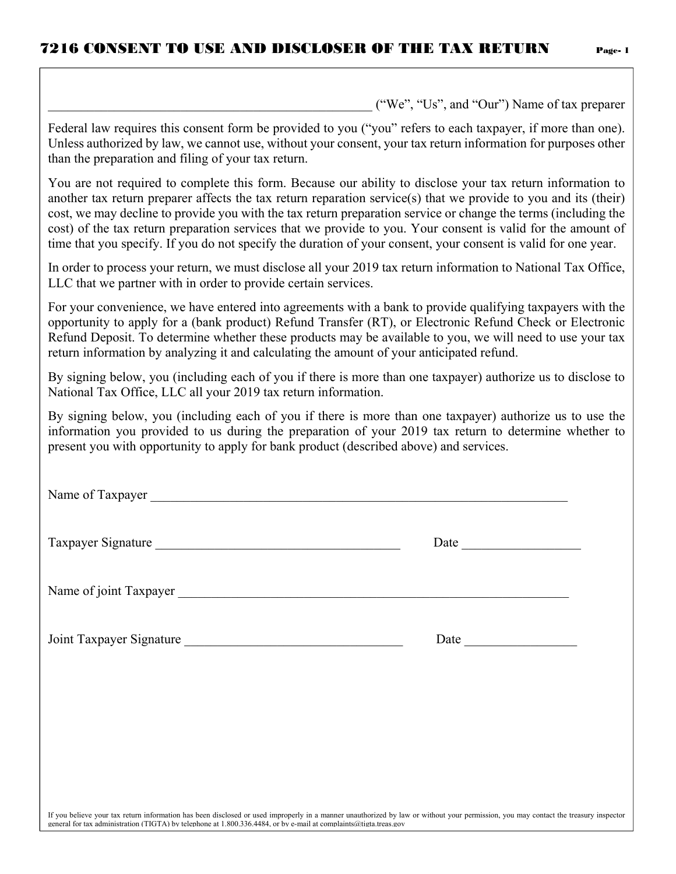\_\_\_\_\_\_\_\_\_\_\_\_\_\_\_\_\_\_\_\_\_\_\_\_\_\_\_\_\_\_\_\_\_\_\_\_\_\_\_\_\_\_\_\_\_\_\_\_\_ ("We", "Us", and "Our") Name of tax preparer

| Federal law requires this consent form be provided to you ("you" refers to each taxpayer, if more than one).<br>Unless authorized by law, we cannot use, without your consent, your tax return information for purposes other<br>than the preparation and filing of your tax return.                                                                                                                                                                                                                                                                                              |                                                                                                                                                                                                                               |  |  |  |  |  |  |
|-----------------------------------------------------------------------------------------------------------------------------------------------------------------------------------------------------------------------------------------------------------------------------------------------------------------------------------------------------------------------------------------------------------------------------------------------------------------------------------------------------------------------------------------------------------------------------------|-------------------------------------------------------------------------------------------------------------------------------------------------------------------------------------------------------------------------------|--|--|--|--|--|--|
| You are not required to complete this form. Because our ability to disclose your tax return information to<br>another tax return preparer affects the tax return reparation service(s) that we provide to you and its (their)<br>cost, we may decline to provide you with the tax return preparation service or change the terms (including the<br>cost) of the tax return preparation services that we provide to you. Your consent is valid for the amount of<br>time that you specify. If you do not specify the duration of your consent, your consent is valid for one year. |                                                                                                                                                                                                                               |  |  |  |  |  |  |
| In order to process your return, we must disclose all your 2019 tax return information to National Tax Office,<br>LLC that we partner with in order to provide certain services.                                                                                                                                                                                                                                                                                                                                                                                                  |                                                                                                                                                                                                                               |  |  |  |  |  |  |
| For your convenience, we have entered into agreements with a bank to provide qualifying taxpayers with the<br>opportunity to apply for a (bank product) Refund Transfer (RT), or Electronic Refund Check or Electronic<br>Refund Deposit. To determine whether these products may be available to you, we will need to use your tax<br>return information by analyzing it and calculating the amount of your anticipated refund.                                                                                                                                                  |                                                                                                                                                                                                                               |  |  |  |  |  |  |
| By signing below, you (including each of you if there is more than one taxpayer) authorize us to disclose to<br>National Tax Office, LLC all your 2019 tax return information.                                                                                                                                                                                                                                                                                                                                                                                                    |                                                                                                                                                                                                                               |  |  |  |  |  |  |
| By signing below, you (including each of you if there is more than one taxpayer) authorize us to use the<br>information you provided to us during the preparation of your 2019 tax return to determine whether to<br>present you with opportunity to apply for bank product (described above) and services.                                                                                                                                                                                                                                                                       |                                                                                                                                                                                                                               |  |  |  |  |  |  |
| Name of Taxpayer                                                                                                                                                                                                                                                                                                                                                                                                                                                                                                                                                                  |                                                                                                                                                                                                                               |  |  |  |  |  |  |
| Taxpayer Signature                                                                                                                                                                                                                                                                                                                                                                                                                                                                                                                                                                | Date and the same state of the state of the state of the state of the state of the state of the state of the state of the state of the state of the state of the state of the state of the state of the state of the state of |  |  |  |  |  |  |
| Name of joint Taxpayer                                                                                                                                                                                                                                                                                                                                                                                                                                                                                                                                                            |                                                                                                                                                                                                                               |  |  |  |  |  |  |
| Joint Taxpayer Signature                                                                                                                                                                                                                                                                                                                                                                                                                                                                                                                                                          |                                                                                                                                                                                                                               |  |  |  |  |  |  |
|                                                                                                                                                                                                                                                                                                                                                                                                                                                                                                                                                                                   |                                                                                                                                                                                                                               |  |  |  |  |  |  |
|                                                                                                                                                                                                                                                                                                                                                                                                                                                                                                                                                                                   |                                                                                                                                                                                                                               |  |  |  |  |  |  |
|                                                                                                                                                                                                                                                                                                                                                                                                                                                                                                                                                                                   |                                                                                                                                                                                                                               |  |  |  |  |  |  |
| If you believe your tax return information has been disclosed or used improperly in a manner unauthorized by law or without your permission, you may contact the treasury inspector<br>general for tax administration (TIGTA) by telephone at 1.800.336.4484, or by e-mail at complaints@tigta.treas.gov                                                                                                                                                                                                                                                                          |                                                                                                                                                                                                                               |  |  |  |  |  |  |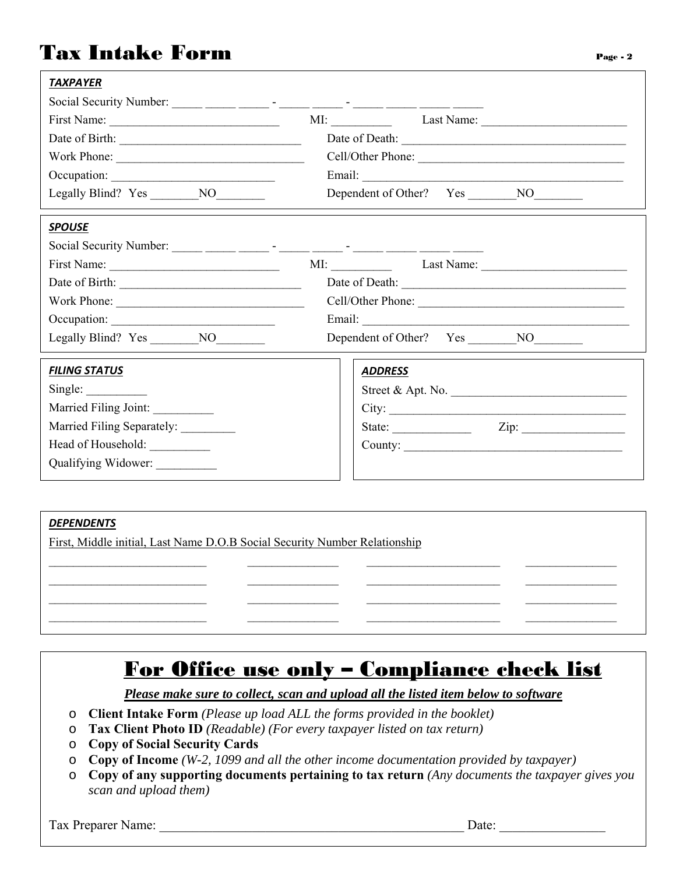#### Tax Intake Form Page -2

| <b>TAXPAYER</b>                                                                     |                               |
|-------------------------------------------------------------------------------------|-------------------------------|
| Social Security Number: _____ _____ _____ - _____ - _____ - _____ _____ _____ _____ |                               |
|                                                                                     | MI: Last Name: Last Name:     |
|                                                                                     |                               |
| Work Phone:                                                                         | Cell/Other Phone:             |
|                                                                                     |                               |
|                                                                                     |                               |
| <b>SPOUSE</b>                                                                       |                               |
| Social Security Number: _____ _____ _____ - _____ - _____ - _____ _____ _____ _____ |                               |
|                                                                                     | MI: Last Name:                |
|                                                                                     |                               |
|                                                                                     | Cell/Other Phone:             |
|                                                                                     |                               |
| Legally Blind? Yes NO                                                               |                               |
| <b>FILING STATUS</b>                                                                | <b>ADDRESS</b>                |
| Single:                                                                             | Street & Apt. No.             |
| Married Filing Joint:                                                               |                               |
| Married Filing Separately: ________                                                 | State: $\angle$ Zip: $\angle$ |
| Head of Household: __________                                                       | County:                       |
| Qualifying Widower:                                                                 |                               |
|                                                                                     |                               |

#### *DEPENDENTS*  First, Middle initial, Last Name D.O.B Social Security Number Relationship  $\_$  , and the set of the set of the set of the set of the set of the set of the set of the set of the set of the set of the set of the set of the set of the set of the set of the set of the set of the set of the set of th  $\mathcal{L}_\mathcal{L} = \{ \mathcal{L}_\mathcal{L} = \{ \mathcal{L}_\mathcal{L} = \{ \mathcal{L}_\mathcal{L} = \{ \mathcal{L}_\mathcal{L} = \{ \mathcal{L}_\mathcal{L} = \{ \mathcal{L}_\mathcal{L} = \{ \mathcal{L}_\mathcal{L} = \{ \mathcal{L}_\mathcal{L} = \{ \mathcal{L}_\mathcal{L} = \{ \mathcal{L}_\mathcal{L} = \{ \mathcal{L}_\mathcal{L} = \{ \mathcal{L}_\mathcal{L} = \{ \mathcal{L}_\mathcal{L} = \{ \mathcal{L}_\mathcal{$  $\mathcal{L}_\mathcal{L} = \{ \mathcal{L}_\mathcal{L} = \{ \mathcal{L}_\mathcal{L} = \{ \mathcal{L}_\mathcal{L} = \{ \mathcal{L}_\mathcal{L} = \{ \mathcal{L}_\mathcal{L} = \{ \mathcal{L}_\mathcal{L} = \{ \mathcal{L}_\mathcal{L} = \{ \mathcal{L}_\mathcal{L} = \{ \mathcal{L}_\mathcal{L} = \{ \mathcal{L}_\mathcal{L} = \{ \mathcal{L}_\mathcal{L} = \{ \mathcal{L}_\mathcal{L} = \{ \mathcal{L}_\mathcal{L} = \{ \mathcal{L}_\mathcal{$

#### For Office use only – Compliance check list

*Please make sure to collect, scan and upload all the listed item below to software* 

- o **Client Intake Form** *(Please up load ALL the forms provided in the booklet)*
- o **Tax Client Photo ID** *(Readable) (For every taxpayer listed on tax return)*
- o **Copy of Social Security Cards**
- o **Copy of Income** *(W-2, 1099 and all the other income documentation provided by taxpayer)*
- o **Copy of any supporting documents pertaining to tax return** *(Any documents the taxpayer gives you scan and upload them)*

Tax Preparer Name:  $\Box$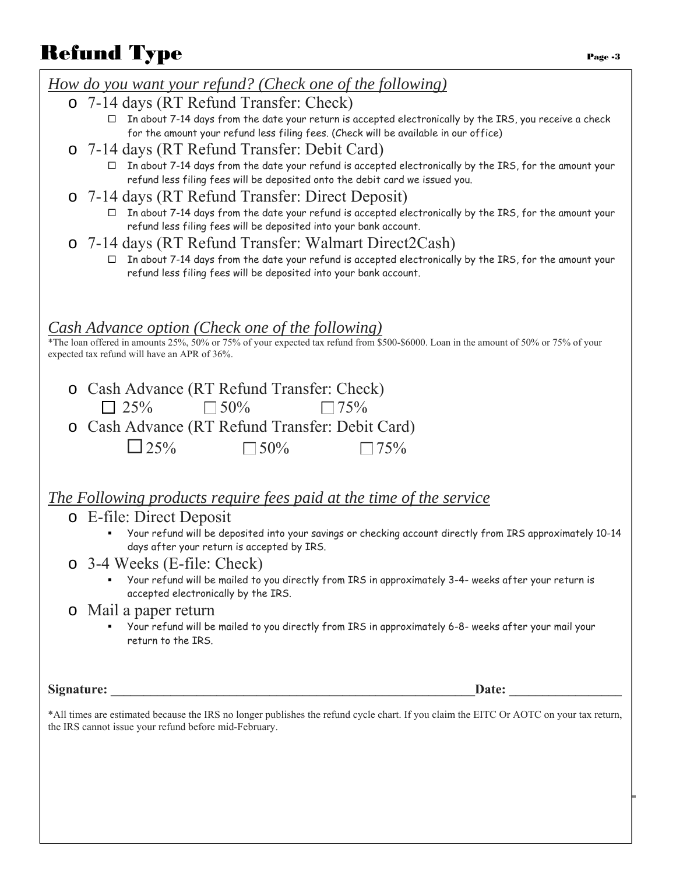# Refund Type  $P_{\text{age}}$

| 'age | - |
|------|---|
|      |   |

| <u>How do you want your refund? (Check one of the following)</u>                                                                                                                                  |  |
|---------------------------------------------------------------------------------------------------------------------------------------------------------------------------------------------------|--|
| o 7-14 days (RT Refund Transfer: Check)                                                                                                                                                           |  |
| □ In about 7-14 days from the date your return is accepted electronically by the IRS, you receive a check<br>for the amount your refund less filing fees. (Check will be available in our office) |  |
| o 7-14 days (RT Refund Transfer: Debit Card)                                                                                                                                                      |  |
| In about 7-14 days from the date your refund is accepted electronically by the IRS, for the amount your<br>refund less filing fees will be deposited onto the debit card we issued you.           |  |
| o 7-14 days (RT Refund Transfer: Direct Deposit)                                                                                                                                                  |  |
| In about 7-14 days from the date your refund is accepted electronically by the IRS, for the amount your<br>refund less filing fees will be deposited into your bank account.                      |  |
| o 7-14 days (RT Refund Transfer: Walmart Direct2Cash)                                                                                                                                             |  |
| In about 7-14 days from the date your refund is accepted electronically by the IRS, for the amount your<br>refund less filing fees will be deposited into your bank account.                      |  |
|                                                                                                                                                                                                   |  |
| <b>Cash Advance option (Check one of the following)</b>                                                                                                                                           |  |
| *The loan offered in amounts 25%, 50% or 75% of your expected tax refund from \$500-\$6000. Loan in the amount of 50% or 75% of your<br>expected tax refund will have an APR of 36%.              |  |
| o Cash Advance (RT Refund Transfer: Check)                                                                                                                                                        |  |
| $\Box$ 50%<br>$\Box$ 75%<br>$\Box$ 25%                                                                                                                                                            |  |
| o Cash Advance (RT Refund Transfer: Debit Card)                                                                                                                                                   |  |
| $\Box$ 25%<br>$\square$ 50%<br>$\Box$ 75%                                                                                                                                                         |  |
|                                                                                                                                                                                                   |  |
| <u>The Following products require fees paid at the time of the service</u>                                                                                                                        |  |
| o E-file: Direct Deposit                                                                                                                                                                          |  |
| Your refund will be deposited into your savings or checking account directly from IRS approximately 10-14<br>days after your return is accepted by IRS.                                           |  |
| o 3-4 Weeks (E-file: Check)                                                                                                                                                                       |  |
| Your refund will be mailed to you directly from IRS in approximately 3-4- weeks after your return is<br>accepted electronically by the IRS.                                                       |  |
| o Mail a paper return                                                                                                                                                                             |  |
| Your refund will be mailed to you directly from IRS in approximately 6-8- weeks after your mail your<br>return to the IRS.                                                                        |  |
| Date: $\qquad \qquad \qquad$                                                                                                                                                                      |  |
|                                                                                                                                                                                                   |  |
| *All times are estimated because the IRS no longer publishes the refund cycle chart. If you claim the EITC Or AOTC on your tax return,<br>the IRS cannot issue your refund before mid-February.   |  |
|                                                                                                                                                                                                   |  |
|                                                                                                                                                                                                   |  |
|                                                                                                                                                                                                   |  |
|                                                                                                                                                                                                   |  |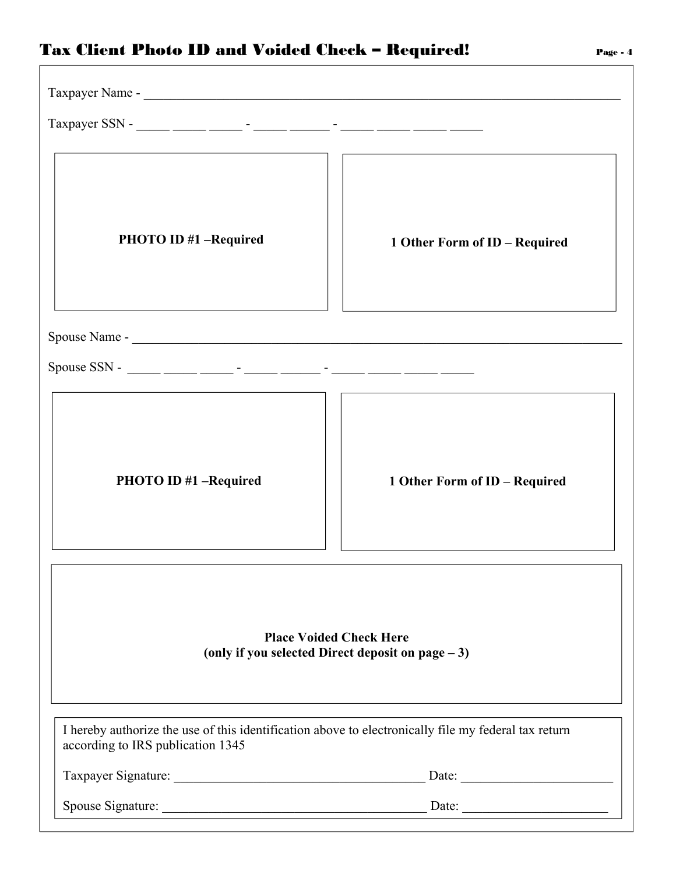#### Tax Client Photo ID and Voided Check - Required!

| Taxpayer SSN - _____ _____ _____ - _____ - _____ - _____ - _____ _____ _____ ____                                                         |                               |  |  |  |  |  |  |
|-------------------------------------------------------------------------------------------------------------------------------------------|-------------------------------|--|--|--|--|--|--|
| <b>PHOTO ID #1 -Required</b>                                                                                                              | 1 Other Form of ID - Required |  |  |  |  |  |  |
|                                                                                                                                           |                               |  |  |  |  |  |  |
| Spouse SSN - ____ ____ ____ - ____ - ____ - ____ - ____ - ____ ____ ____ ____                                                             |                               |  |  |  |  |  |  |
| PHOTO ID #1 - Required                                                                                                                    | 1 Other Form of ID - Required |  |  |  |  |  |  |
| <b>Place Voided Check Here</b><br>(only if you selected Direct deposit on page $-3$ )                                                     |                               |  |  |  |  |  |  |
| I hereby authorize the use of this identification above to electronically file my federal tax return<br>according to IRS publication 1345 |                               |  |  |  |  |  |  |
|                                                                                                                                           |                               |  |  |  |  |  |  |
|                                                                                                                                           | Spouse Signature: Date: Date: |  |  |  |  |  |  |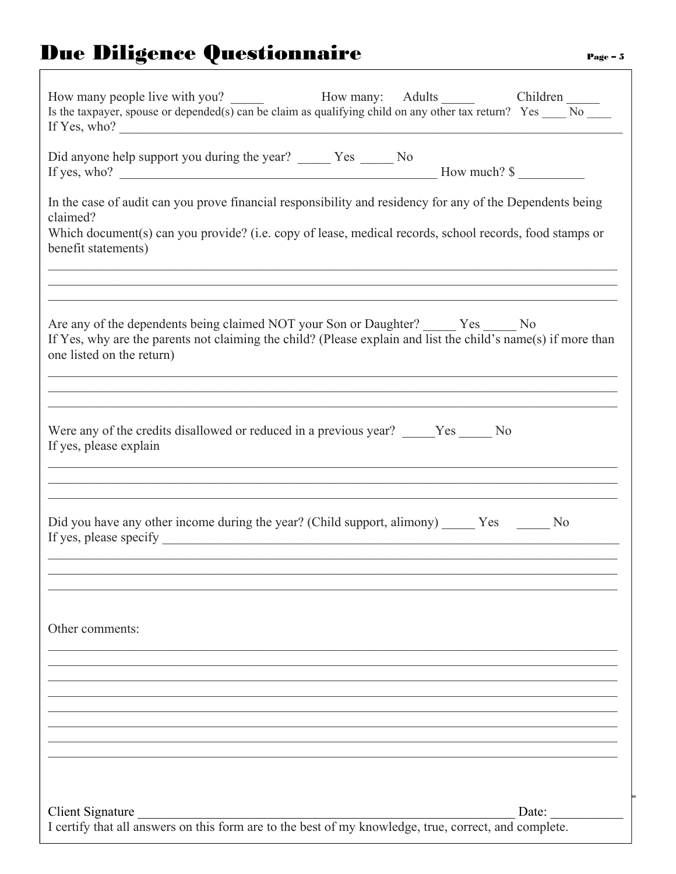# **Due Diligence Questionnaire**

| How many people live with you?<br>Is the taxpayer, spouse or depended(s) can be claim as qualifying child on any other tax return? Yes $\frac{\text{Children}}{\text{No}}$<br>If Yes, who? $\qquad \qquad$                                                                                                                                                                      |
|---------------------------------------------------------------------------------------------------------------------------------------------------------------------------------------------------------------------------------------------------------------------------------------------------------------------------------------------------------------------------------|
| Did anyone help support you during the year? _______ Yes ______ No                                                                                                                                                                                                                                                                                                              |
| In the case of audit can you prove financial responsibility and residency for any of the Dependents being<br>claimed?<br>Which document(s) can you provide? (i.e. copy of lease, medical records, school records, food stamps or<br>benefit statements)<br><u> 1990 - Johann John Stoff, amerikan bestein der stadt i den stadt i den stadt i den stadt i den stadt i den s</u> |
| Are any of the dependents being claimed NOT your Son or Daughter? ______ Yes _____ No<br>If Yes, why are the parents not claiming the child? (Please explain and list the child's name(s) if more than<br>one listed on the return)                                                                                                                                             |
| Were any of the credits disallowed or reduced in a previous year? _____Yes _____ No<br>If yes, please explain                                                                                                                                                                                                                                                                   |
| Did you have any other income during the year? (Child support, alimony) Yes No                                                                                                                                                                                                                                                                                                  |
| Other comments:                                                                                                                                                                                                                                                                                                                                                                 |
|                                                                                                                                                                                                                                                                                                                                                                                 |
| Client Signature<br>Date:<br>I certify that all answers on this form are to the best of my knowledge, true, correct, and complete.                                                                                                                                                                                                                                              |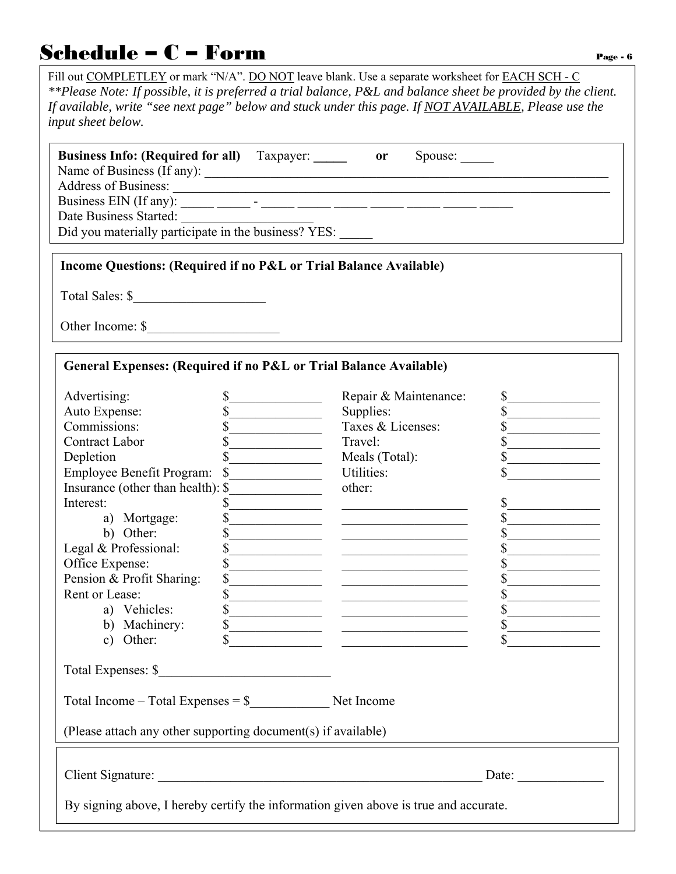#### $\begin{array}{c} \mathbf{Schedule} - \mathbf{C} - \mathbf{Form} \end{array}$

Fill out COMPLETLEY or mark "N/A". DO NOT leave blank. Use a separate worksheet for EACH SCH - C *\*\*Please Note: If possible, it is preferred a trial balance, P&L and balance sheet be provided by the client. If available, write "see next page" below and stuck under this page. If NOT AVAILABLE, Please use the input sheet below.* 

| <b>Business Info: (Required for all)</b> Taxpayer: _______ or     |                                                    | Spouse:                                      |                                                   |
|-------------------------------------------------------------------|----------------------------------------------------|----------------------------------------------|---------------------------------------------------|
|                                                                   |                                                    |                                              |                                                   |
|                                                                   |                                                    |                                              |                                                   |
| Date Business Started:                                            |                                                    |                                              |                                                   |
| Did you materially participate in the business? YES:              |                                                    |                                              |                                                   |
|                                                                   |                                                    |                                              |                                                   |
| Income Questions: (Required if no P&L or Trial Balance Available) |                                                    |                                              |                                                   |
|                                                                   |                                                    |                                              |                                                   |
|                                                                   |                                                    |                                              |                                                   |
|                                                                   |                                                    |                                              |                                                   |
| General Expenses: (Required if no P&L or Trial Balance Available) |                                                    |                                              |                                                   |
| Advertising:                                                      | \$<br><u> 1990 - Johann Barbara, martin a</u>      | Repair & Maintenance:                        | $\frac{1}{\sqrt{2}}$                              |
| Auto Expense:                                                     | \$                                                 | Supplies:                                    |                                                   |
| Commissions:                                                      |                                                    | Taxes & Licenses:                            | $\overline{\mathbb{S}}$                           |
| <b>Contract Labor</b>                                             | <u> 1990 - Johann Barbara, martin a</u>            | Travel:                                      | $\mathbb{S}$<br>the control of the control of the |
| Depletion                                                         | <u> 1980 - Johann Barbara, martin a</u>            | Meals (Total):                               | $\mathbb{S}$                                      |
| <b>Employee Benefit Program:</b>                                  | $\mathcal{S}$<br>the company of the company of the | Utilities:                                   |                                                   |
| Insurance (other than health): \$                                 |                                                    | other:                                       |                                                   |
| Interest:                                                         | S                                                  |                                              | \$                                                |
| a) Mortgage:                                                      | \$                                                 |                                              | \$                                                |
| b) Other:                                                         | \$                                                 |                                              | \$                                                |
| Legal & Professional:                                             | \$                                                 |                                              | \$                                                |
| Office Expense:                                                   | \$                                                 | the control of the control of the control of | \$                                                |
| Pension & Profit Sharing:                                         | \$                                                 |                                              | $\mathbb{S}$                                      |
| Rent or Lease:                                                    | \$                                                 |                                              | \$                                                |
| a) Vehicles:                                                      | $\mathbb{S}$                                       |                                              | $\mathbb{S}$                                      |
| b) Machinery:                                                     | $\mathbb{S}$                                       | <u> 1990 - Johann Barbara, martin a</u>      | $\mathbb{S}$                                      |
| c) Other:                                                         | \$                                                 |                                              |                                                   |
| Total Expenses: \$                                                |                                                    |                                              |                                                   |
| Total Income – Total Expenses = $\$ Net Income                    |                                                    |                                              |                                                   |

(Please attach any other supporting document(s) if available)

Client Signature: \_\_\_\_\_\_\_\_\_\_\_\_\_\_\_\_\_\_\_\_\_\_\_\_\_\_\_\_\_\_\_\_\_\_\_\_\_\_\_\_\_\_\_\_\_\_\_\_\_ Date: \_\_\_\_\_\_\_\_\_\_\_\_\_

By signing above, I hereby certify the information given above is true and accurate.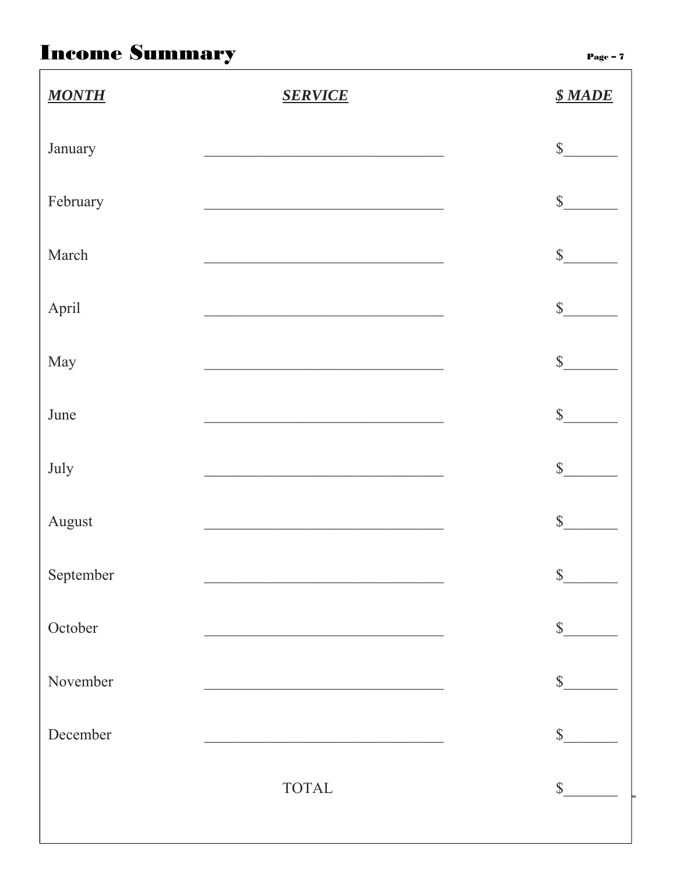## **Income Summary**

Page -  $7$ 

| <b>MONTH</b> | <b>SERVICE</b>                                                                                                         | <b><i><u><i>S</i></u></i></b> MADE |
|--------------|------------------------------------------------------------------------------------------------------------------------|------------------------------------|
| January      | <u> 2002 - Johann Johann Storm (d. 1982)</u>                                                                           | s                                  |
| February     |                                                                                                                        | $s$                                |
| March        | <u> 2008 - Jan James James James James James James James James James James James James James James James James Ja</u>  | s                                  |
| April        |                                                                                                                        | s                                  |
| May          |                                                                                                                        | s                                  |
| June         |                                                                                                                        | s                                  |
| July         | <u> 2008 - Johann John Stone, mars and de la provincia de la provincia de la provincia de la provincia de la provi</u> | $\sim$                             |
| August       | <u> 2008 - Johann John Stone, martin de Brasilia (h. 18</u>                                                            | $\mathbb S$                        |
| September    |                                                                                                                        | \$                                 |
| October      |                                                                                                                        | $\mathbb{S}$                       |
| November     |                                                                                                                        | $\mathbb{S}$                       |
| December     |                                                                                                                        | $\mathbb{S}$                       |
|              | <b>TOTAL</b>                                                                                                           | $\mathbb{S}$                       |
|              |                                                                                                                        |                                    |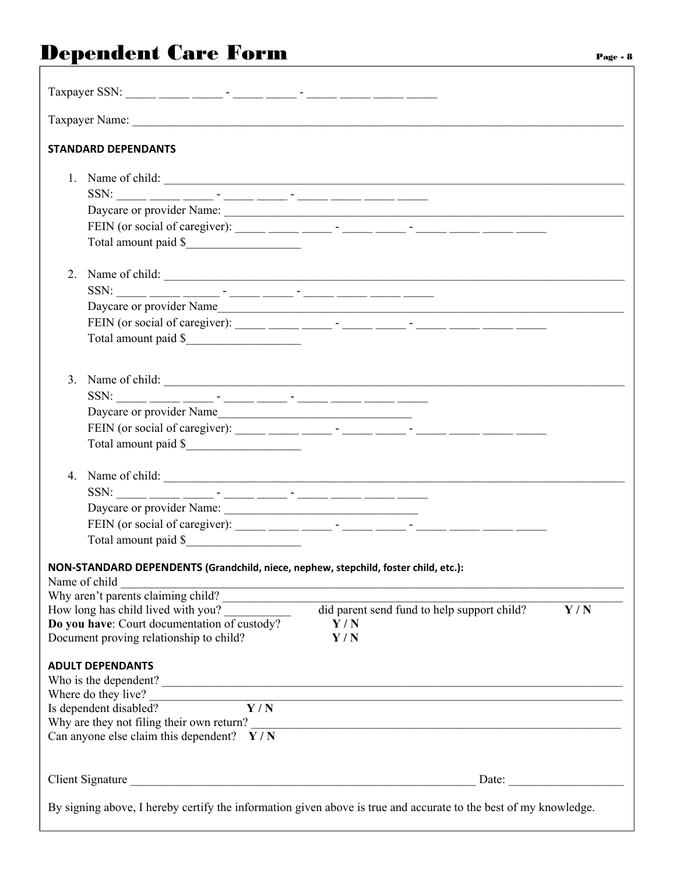## Dependent Care Form Page - 8

| Taxpayer SSN: _____ _____ _____ - _____ - _____ - _____ - _____ _____ _____ ____    |                                                                                                                  |
|-------------------------------------------------------------------------------------|------------------------------------------------------------------------------------------------------------------|
|                                                                                     |                                                                                                                  |
| <b>STANDARD DEPENDANTS</b>                                                          |                                                                                                                  |
| 1. Name of child:                                                                   |                                                                                                                  |
|                                                                                     |                                                                                                                  |
|                                                                                     |                                                                                                                  |
|                                                                                     | FEIN (or social of caregiver): ______ _____ - _____ - _____ - _____ - _____ _____ _____                          |
| Total amount paid \$                                                                |                                                                                                                  |
|                                                                                     | 2. Name of child:                                                                                                |
|                                                                                     |                                                                                                                  |
|                                                                                     |                                                                                                                  |
|                                                                                     | FEIN (or social of caregiver): ______ _____ - _____ - _____ - _____ - _____ _____ _____                          |
| Total amount paid \$                                                                |                                                                                                                  |
| 3. Name of child:                                                                   |                                                                                                                  |
|                                                                                     |                                                                                                                  |
| Daycare or provider Name                                                            |                                                                                                                  |
|                                                                                     | FEIN (or social of caregiver): ______ _____ - _____ - _____ - _____ - _____ _____ _____                          |
| Total amount paid \$                                                                |                                                                                                                  |
|                                                                                     |                                                                                                                  |
|                                                                                     |                                                                                                                  |
| Daycare or provider Name:                                                           |                                                                                                                  |
|                                                                                     | FEIN (or social of caregiver): ______ _____ - _____ - _____ - _____ - _____ _____ _____ _____                    |
| Total amount paid \$                                                                |                                                                                                                  |
| NON-STANDARD DEPENDENTS (Grandchild, niece, nephew, stepchild, foster child, etc.): |                                                                                                                  |
| Name of child $\frac{1}{\text{Why aren't parents claiming child?}}$                 |                                                                                                                  |
| How long has child lived with you?                                                  | did parent send fund to help support child?<br>Y/N                                                               |
| Do you have: Court documentation of custody?                                        | Y/N                                                                                                              |
| Document proving relationship to child?                                             | Y/N                                                                                                              |
| <b>ADULT DEPENDANTS</b>                                                             |                                                                                                                  |
|                                                                                     | Who is the dependent?                                                                                            |
| Where do they live?<br>$\overline{Y/N}$<br>Is dependent disabled?                   |                                                                                                                  |
|                                                                                     |                                                                                                                  |
| Can anyone else claim this dependent? $Y/N$                                         |                                                                                                                  |
|                                                                                     | Date:                                                                                                            |
|                                                                                     | By signing above, I hereby certify the information given above is true and accurate to the best of my knowledge. |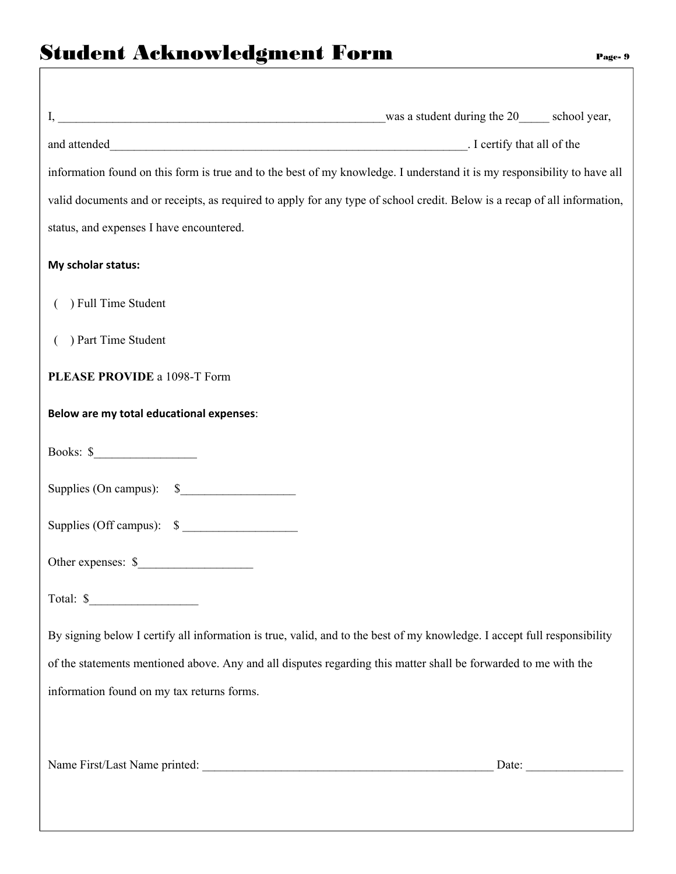| information found on this form is true and to the best of my knowledge. I understand it is my responsibility to have all  |
|---------------------------------------------------------------------------------------------------------------------------|
| valid documents and or receipts, as required to apply for any type of school credit. Below is a recap of all information, |
| status, and expenses I have encountered.                                                                                  |
| My scholar status:                                                                                                        |
| ) Full Time Student                                                                                                       |
| ) Part Time Student                                                                                                       |
| PLEASE PROVIDE a 1098-T Form                                                                                              |
| Below are my total educational expenses:                                                                                  |
| Books: $\frac{\sqrt{2}}{2}$                                                                                               |
| Supplies (On campus): \$                                                                                                  |
| Supplies (Off campus): \$                                                                                                 |
| Other expenses: \$                                                                                                        |
| Total: $\frac{\sqrt{2}}{2}$                                                                                               |
| By signing below I certify all information is true, valid, and to the best of my knowledge. I accept full responsibility  |
| of the statements mentioned above. Any and all disputes regarding this matter shall be forwarded to me with the           |
| information found on my tax returns forms.                                                                                |
|                                                                                                                           |
|                                                                                                                           |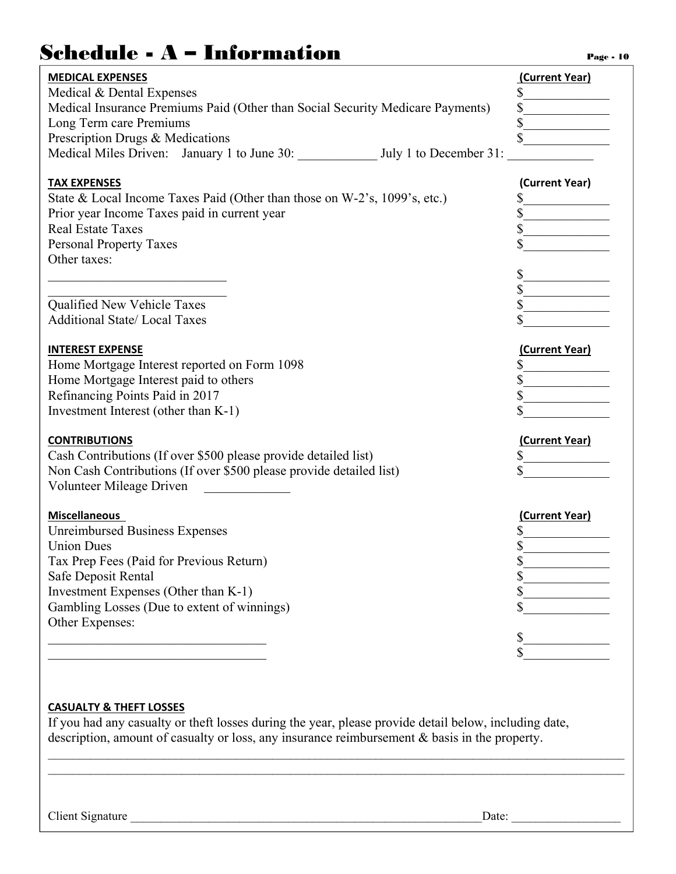### $Schedule - A - Information$

| <b>MEDICAL EXPENSES</b>                                                        | (Current Year) |
|--------------------------------------------------------------------------------|----------------|
| Medical & Dental Expenses                                                      | $\sim$         |
| Medical Insurance Premiums Paid (Other than Social Security Medicare Payments) |                |
| Long Term care Premiums                                                        |                |
| Prescription Drugs & Medications                                               |                |
| Medical Miles Driven: January 1 to June 30: July 1 to December 31:             |                |
| <b>TAX EXPENSES</b>                                                            | (Current Year) |
| State & Local Income Taxes Paid (Other than those on W-2's, 1099's, etc.)      | \$             |
| Prior year Income Taxes paid in current year                                   |                |
| <b>Real Estate Taxes</b>                                                       |                |
| <b>Personal Property Taxes</b>                                                 |                |
| Other taxes:                                                                   |                |
|                                                                                | \$             |
|                                                                                |                |
| Qualified New Vehicle Taxes                                                    |                |
| <b>Additional State/Local Taxes</b>                                            |                |
|                                                                                |                |
| <b>INTEREST EXPENSE</b>                                                        | (Current Year) |
| Home Mortgage Interest reported on Form 1098                                   |                |
| Home Mortgage Interest paid to others                                          |                |
| Refinancing Points Paid in 2017                                                |                |
| Investment Interest (other than K-1)                                           |                |
|                                                                                |                |
| <b>CONTRIBUTIONS</b>                                                           | (Current Year) |
| Cash Contributions (If over \$500 please provide detailed list)                |                |
| Non Cash Contributions (If over \$500 please provide detailed list)            |                |
| Volunteer Mileage Driven                                                       |                |
| <b>Miscellaneous</b>                                                           | (Current Year) |
| <b>Unreimbursed Business Expenses</b>                                          |                |
| <b>Union Dues</b>                                                              | \$             |
| Tax Prep Fees (Paid for Previous Return)                                       |                |
| Safe Deposit Rental                                                            |                |
| Investment Expenses (Other than K-1)                                           |                |
| Gambling Losses (Due to extent of winnings)                                    |                |
| Other Expenses:                                                                |                |
|                                                                                | \$             |
|                                                                                |                |
|                                                                                |                |

#### **CASUALTY & THEFT LOSSES**

If you had any casualty or theft losses during the year, please provide detail below, including date, description, amount of casualty or loss, any insurance reimbursement & basis in the property.

 $\mathcal{L}_\mathcal{L} = \mathcal{L}_\mathcal{L} = \mathcal{L}_\mathcal{L} = \mathcal{L}_\mathcal{L} = \mathcal{L}_\mathcal{L} = \mathcal{L}_\mathcal{L} = \mathcal{L}_\mathcal{L} = \mathcal{L}_\mathcal{L} = \mathcal{L}_\mathcal{L} = \mathcal{L}_\mathcal{L} = \mathcal{L}_\mathcal{L} = \mathcal{L}_\mathcal{L} = \mathcal{L}_\mathcal{L} = \mathcal{L}_\mathcal{L} = \mathcal{L}_\mathcal{L} = \mathcal{L}_\mathcal{L} = \mathcal{L}_\mathcal{L}$ 

Client Signature \_\_\_\_\_\_\_\_\_\_\_\_\_\_\_\_\_\_\_\_\_\_\_\_\_\_\_\_\_\_\_\_\_\_\_\_\_\_\_\_\_\_\_\_\_\_\_\_\_\_\_\_\_\_\_\_\_\_Date: \_\_\_\_\_\_\_\_\_\_\_\_\_\_\_\_\_\_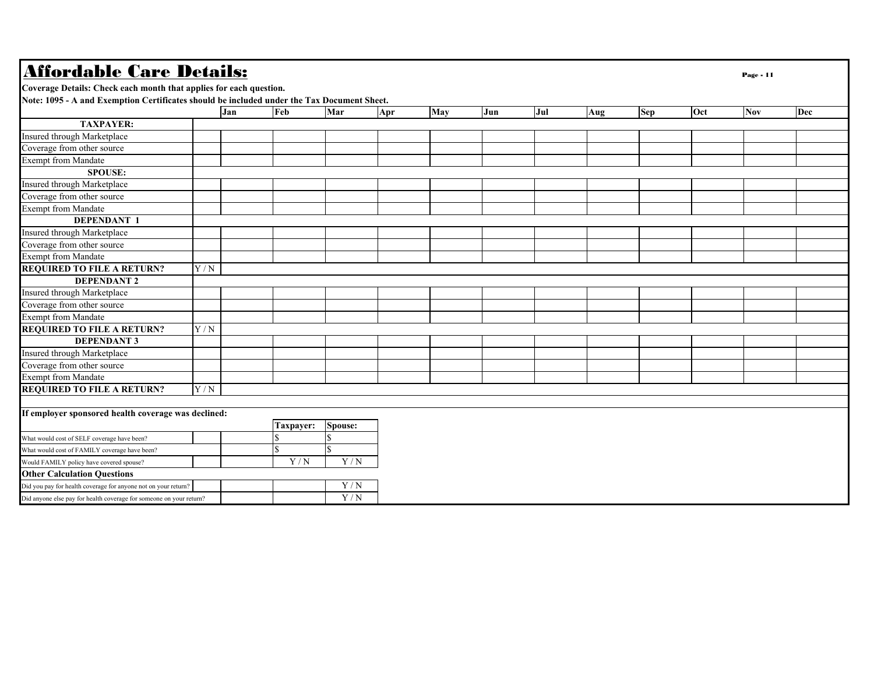| <b>Affordable Care Details:</b>                                                            |     |     |           |                |     |     |     |     |     |            |     | Page - 11  |     |
|--------------------------------------------------------------------------------------------|-----|-----|-----------|----------------|-----|-----|-----|-----|-----|------------|-----|------------|-----|
| Coverage Details: Check each month that applies for each question.                         |     |     |           |                |     |     |     |     |     |            |     |            |     |
| Note: 1095 - A and Exemption Certificates should be included under the Tax Document Sheet. |     |     |           |                |     |     |     |     |     |            |     |            |     |
|                                                                                            |     | Jan | Feb       | Mar            | Apr | May | Jun | Jul | Aug | <b>Sep</b> | Oct | <b>Nov</b> | Dec |
| <b>TAXPAYER:</b>                                                                           |     |     |           |                |     |     |     |     |     |            |     |            |     |
| Insured through Marketplace                                                                |     |     |           |                |     |     |     |     |     |            |     |            |     |
| Coverage from other source                                                                 |     |     |           |                |     |     |     |     |     |            |     |            |     |
| <b>Exempt from Mandate</b>                                                                 |     |     |           |                |     |     |     |     |     |            |     |            |     |
| <b>SPOUSE:</b>                                                                             |     |     |           |                |     |     |     |     |     |            |     |            |     |
| Insured through Marketplace                                                                |     |     |           |                |     |     |     |     |     |            |     |            |     |
| Coverage from other source                                                                 |     |     |           |                |     |     |     |     |     |            |     |            |     |
| <b>Exempt from Mandate</b>                                                                 |     |     |           |                |     |     |     |     |     |            |     |            |     |
| <b>DEPENDANT 1</b>                                                                         |     |     |           |                |     |     |     |     |     |            |     |            |     |
| Insured through Marketplace                                                                |     |     |           |                |     |     |     |     |     |            |     |            |     |
| Coverage from other source                                                                 |     |     |           |                |     |     |     |     |     |            |     |            |     |
| <b>Exempt from Mandate</b>                                                                 |     |     |           |                |     |     |     |     |     |            |     |            |     |
| <b>REQUIRED TO FILE A RETURN?</b>                                                          | Y/N |     |           |                |     |     |     |     |     |            |     |            |     |
| <b>DEPENDANT 2</b>                                                                         |     |     |           |                |     |     |     |     |     |            |     |            |     |
| Insured through Marketplace                                                                |     |     |           |                |     |     |     |     |     |            |     |            |     |
| Coverage from other source                                                                 |     |     |           |                |     |     |     |     |     |            |     |            |     |
| <b>Exempt from Mandate</b>                                                                 |     |     |           |                |     |     |     |     |     |            |     |            |     |
| <b>REQUIRED TO FILE A RETURN?</b>                                                          | Y/N |     |           |                |     |     |     |     |     |            |     |            |     |
| <b>DEPENDANT 3</b>                                                                         |     |     |           |                |     |     |     |     |     |            |     |            |     |
| Insured through Marketplace                                                                |     |     |           |                |     |     |     |     |     |            |     |            |     |
| Coverage from other source                                                                 |     |     |           |                |     |     |     |     |     |            |     |            |     |
| Exempt from Mandate                                                                        |     |     |           |                |     |     |     |     |     |            |     |            |     |
| <b>REQUIRED TO FILE A RETURN?</b>                                                          | Y/N |     |           |                |     |     |     |     |     |            |     |            |     |
|                                                                                            |     |     |           |                |     |     |     |     |     |            |     |            |     |
| If employer sponsored health coverage was declined:                                        |     |     |           |                |     |     |     |     |     |            |     |            |     |
|                                                                                            |     |     | Taxpayer: | <b>Spouse:</b> |     |     |     |     |     |            |     |            |     |
| What would cost of SELF coverage have been?                                                |     |     |           |                |     |     |     |     |     |            |     |            |     |
| What would cost of FAMILY coverage have been?                                              |     |     |           |                |     |     |     |     |     |            |     |            |     |
| Would FAMILY policy have covered spouse?                                                   |     |     | Y/N       | Y/N            |     |     |     |     |     |            |     |            |     |
| <b>Other Calculation Questions</b>                                                         |     |     |           |                |     |     |     |     |     |            |     |            |     |
| Did you pay for health coverage for anyone not on your return?                             |     |     |           | Y/N            |     |     |     |     |     |            |     |            |     |
| Did anyone else pay for health coverage for someone on your return?                        |     |     |           | Y/N            |     |     |     |     |     |            |     |            |     |